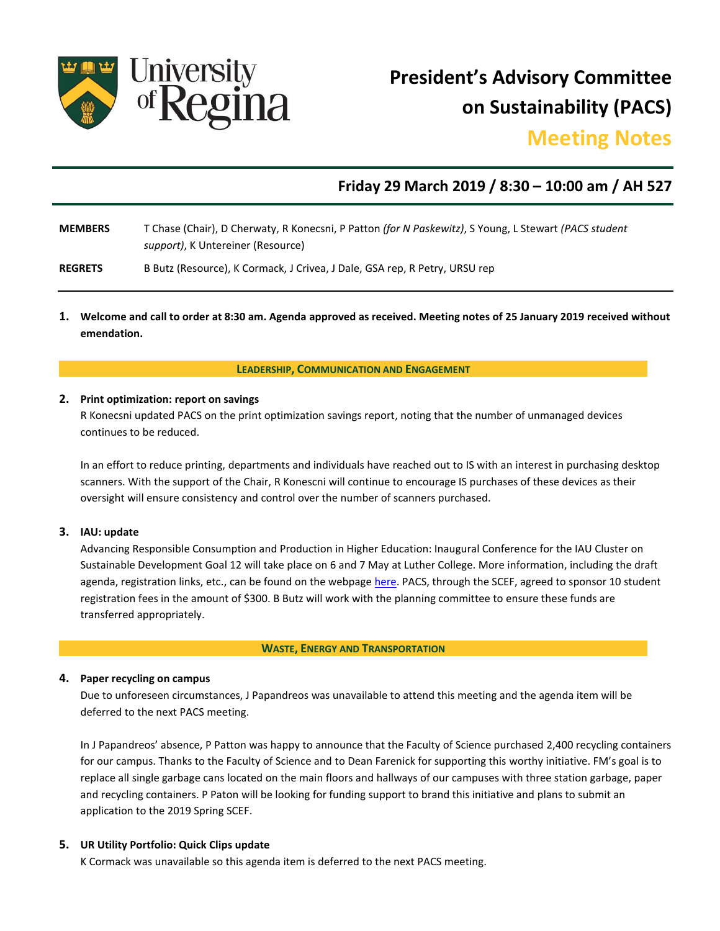

**President's Advisory Committee on Sustainability (PACS)**

# **Meeting Notes**

## **Friday 29 March 2019 / 8:30 – 10:00 am / AH 527**

**MEMBERS** T Chase (Chair), D Cherwaty, R Konecsni, P Patton *(for N Paskewitz)*, S Young, L Stewart *(PACS student support)*, K Untereiner (Resource)

**REGRETS** B Butz (Resource), K Cormack, J Crivea, J Dale, GSA rep, R Petry, URSU rep

**1. Welcome and call to order at 8:30 am. Agenda approved as received. Meeting notes of 25 January 2019 received without emendation.**

**LEADERSHIP, COMMUNICATION AND ENGAGEMENT**

#### **2. Print optimization: report on savings**

R Konecsni updated PACS on the print optimization savings report, noting that the number of unmanaged devices continues to be reduced.

In an effort to reduce printing, departments and individuals have reached out to IS with an interest in purchasing desktop scanners. With the support of the Chair, R Konescni will continue to encourage IS purchases of these devices as their oversight will ensure consistency and control over the number of scanners purchased.

#### **3. IAU: update**

Advancing Responsible Consumption and Production in Higher Education: Inaugural Conference for the IAU Cluster on Sustainable Development Goal 12 will take place on 6 and 7 May at Luther College. More information, including the draft agenda, registration links, etc., can be found on the webpag[e here.](https://www.luthercollege.edu/university/alumni-friends/events/iau-sustainable-development-goal-12-inaugural-conference) PACS, through the SCEF, agreed to sponsor 10 student registration fees in the amount of \$300. B Butz will work with the planning committee to ensure these funds are transferred appropriately.

#### **WASTE, ENERGY AND TRANSPORTATION**

#### **4. Paper recycling on campus**

Due to unforeseen circumstances, J Papandreos was unavailable to attend this meeting and the agenda item will be deferred to the next PACS meeting.

In J Papandreos' absence, P Patton was happy to announce that the Faculty of Science purchased 2,400 recycling containers for our campus. Thanks to the Faculty of Science and to Dean Farenick for supporting this worthy initiative. FM's goal is to replace all single garbage cans located on the main floors and hallways of our campuses with three station garbage, paper and recycling containers. P Paton will be looking for funding support to brand this initiative and plans to submit an application to the 2019 Spring SCEF.

#### **5. UR Utility Portfolio: Quick Clips update**

K Cormack was unavailable so this agenda item is deferred to the next PACS meeting.